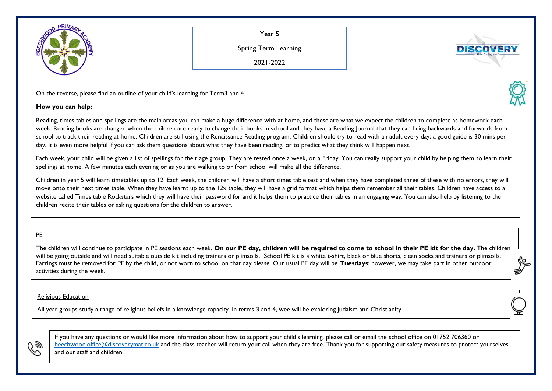

Year 5

Spring Term Learning

**DISCOVE!** 

2021-2022

On the reverse, please find an outline of your child's learning for Term3 and 4.

## **How you can help:**

Reading, times tables and spellings are the main areas you can make a huge difference with at home, and these are what we expect the children to complete as homework each week. Reading books are changed when the children are ready to change their books in school and they have a Reading Journal that they can bring backwards and forwards from school to track their reading at home. Children are still using the Renaissance Reading program. Children should try to read with an adult every day; a good guide is 30 mins per day. It is even more helpful if you can ask them questions about what they have been reading, or to predict what they think will happen next.

Each week, your child will be given a list of spellings for their age group. They are tested once a week, on a Friday. You can really support your child by helping them to learn their spellings at home. A few minutes each evening or as you are walking to or from school will make all the difference.

Children in year 5 will learn timetables up to 12. Each week, the children will have a short times table test and when they have completed three of these with no errors, they will move onto their next times table. When they have learnt up to the 12x table, they will have a grid format which helps them remember all their tables. Children have access to a website called Times table Rockstars which they will have their password for and it helps them to practice their tables in an engaging way. You can also help by listening to the children recite their tables or asking questions for the children to answer.

## PE

The children will continue to participate in PE sessions each week. **On our PE day, children will be required to come to school in their PE kit for the day.** The children will be going outside and will need suitable outside kit including trainers or plimsolls. School PE kit is a white t-shirt, black or blue shorts, clean socks and trainers or plimsolls. Earrings must be removed for PE by the child, or not worn to school on that day please. Our usual PE day will be **Tuesdays**; however, we may take part in other outdoor activities during the week.

## Religious Education

All year groups study a range of religious beliefs in a knowledge capacity. In terms 3 and 4, wee will be exploring Judaism and Christianity.



If you have any questions or would like more information about how to support your child's learning, please call or email the school office on 01752 706360 or [beechwood.office@discoverymat.co.uk](mailto:beechwood.office@discoverymat.co.uk) and the class teacher will return your call when they are free. Thank you for supporting our safety measures to protect yourselves and our staff and children.